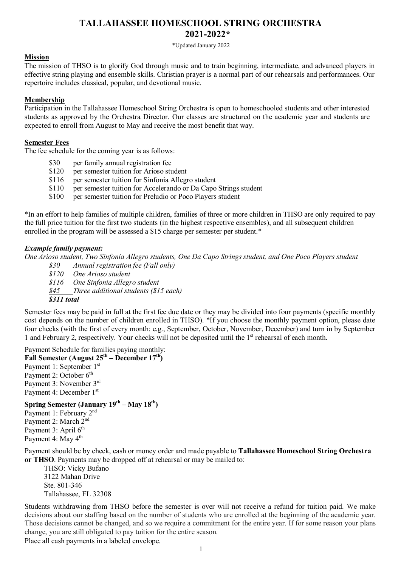# **TALLAHASSEE HOMESCHOOL STRING ORCHESTRA 2021-2022\***

\*Updated January 2022

#### **Mission**

The mission of THSO is to glorify God through music and to train beginning, intermediate, and advanced players in effective string playing and ensemble skills. Christian prayer is a normal part of our rehearsals and performances. Our repertoire includes classical, popular, and devotional music.

#### **Membership**

Participation in the Tallahassee Homeschool String Orchestra is open to homeschooled students and other interested students as approved by the Orchestra Director. Our classes are structured on the academic year and students are expected to enroll from August to May and receive the most benefit that way.

#### **Semester Fees**

The fee schedule for the coming year is as follows:

- \$30 per family annual registration fee
- \$120 per semester tuition for Arioso student
- \$116 per semester tuition for Sinfonia Allegro student
- \$110 per semester tuition for Accelerando or Da Capo Strings student
- \$100 per semester tuition for Preludio or Poco Players student

\*In an effort to help families of multiple children, families of three or more children in THSO are only required to pay the full price tuition for the first two students (in the highest respective ensembles), and all subsequent children enrolled in the program will be assessed a \$15 charge per semester per student.\*

#### *Example family payment:*

One Arioso student. Two Sinfonia Allegro students. One Da Capo Strings student, and One Poco Players student

- *\$30 Annual registration fee (Fall only)*
- *\$120 One Arioso student*
- *\$116 One Sinfonia Allegro student*

*\$45 Three additional students (\$15 each)*

*\$311 total*

Semester fees may be paid in full at the first fee due date or they may be divided into four payments (specific monthly cost depends on the number of children enrolled in THSO). \*If you choose the monthly payment option, please date four checks (with the first of every month: e.g., September, October, November, December) and turn in by September 1 and February 2, respectively. Your checks will not be deposited until the 1st rehearsal of each month.

Payment Schedule for families paying monthly: **Fall Semester** (August  $25^{th}$  – December  $17^{th}$ ) Payment 1: September 1st Payment 2: October 6<sup>th</sup> Payment 3: November 3rd Payment 4: December 1st

# **Spring Semester (January 19th – May 18th)**

Payment 1: February 2nd Payment 2: March 2nd Payment 3: April 6<sup>th</sup> Payment 4: May 4<sup>th</sup>

Payment should be by check, cash or money order and made payable to **Tallahassee Homeschool String Orchestra or THSO**. Payments may be dropped off at rehearsal or may be mailed to:

THSO: Vicky Bufano 3122 Mahan Drive Ste. 801-346 Tallahassee, FL 32308

Students withdrawing from THSO before the semester is over will not receive a refund for tuition paid. We make decisions about our staffing based on the number of students who are enrolled at the beginning of the academic year. Those decisions cannot be changed, and so we require a commitment for the entire year. If for some reason your plans change, you are still obligated to pay tuition for the entire season.

Place all cash payments in a labeled envelope.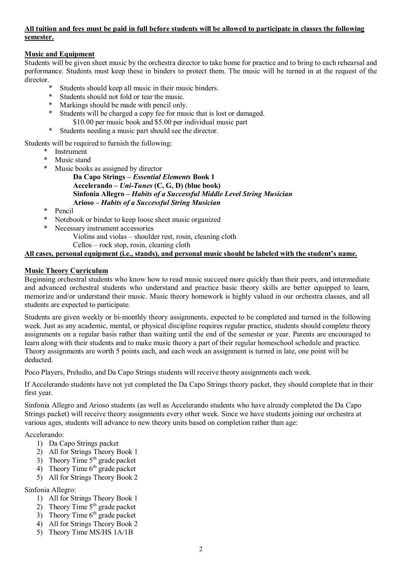#### **All tuition and fees must be paid in full before students will be allowed to participate in classes the following semester.**

### **Music and Equipment**

Students will be given sheet music by the orchestra director to take home for practice and to bring to each rehearsal and performance. Students must keep these in binders to protect them. The music will be turned in at the request of the director.

- Students should keep all music in their music binders.
- \* Students should not fold or tear the music.
- \* Markings should be made with pencil only.
- \* Students will be charged a copy fee for music that is lost or damaged. \$10.00 per music book and \$5.00 per individual music part
- \* Students needing a music part should see the director.

Students will be required to furnish the following:

- \* Instrument
- \* Music stand<br>\* Music books
- Music books as assigned by director
	- **Da Capo Strings –** *Essential Elements* **Book 1 Accelerando –** *Uni-Tunes* **(C, G, D) (blue book) Sinfonia Allegro –** *Habits of a Successful Middle Level String Musician* **Arioso –** *Habits of a Successful String Musician*
- \* Pencil
- \* Notebook or binder to keep loose sheet music organized
- \* Necessary instrument accessories
	- Violins and violas shoulder rest, rosin, cleaning cloth Cellos – rock stop, rosin, cleaning cloth

### **All cases, personal equipment (i.e., stands), and personal music should be labeled with the student's name.**

#### **Music Theory Curriculum**

Beginning orchestral students who know how to read music succeed more quickly than their peers, and intermediate and advanced orchestral students who understand and practice basic theory skills are better equipped to learn, memorize and/or understand their music. Music theory homework is highly valued in our orchestra classes, and all students are expected to participate.

Students are given weekly or bi-monthly theory assignments, expected to be completed and turned in the following week. Just as any academic, mental, or physical discipline requires regular practice, students should complete theory assignments on a regular basis rather than waiting until the end of the semester or year. Parents are encouraged to learn along with their students and to make music theory a part of their regular homeschool schedule and practice. Theory assignments are worth 5 points each, and each week an assignment is turned in late, one point will be deducted.

Poco Players, Preludio, and Da Capo Strings students will receive theory assignments each week.

If Accelerando students have not yet completed the Da Capo Strings theory packet, they should complete that in their first year.

Sinfonia Allegro and Arioso students (as well as Accelerando students who have already completed the Da Capo Strings packet) will receive theory assignments every other week. Since we have students joining our orchestra at various ages, students will advance to new theory units based on completion rather than age:

Accelerando:

- 1) Da Capo Strings packet
- 2) All for Strings Theory Book 1
- 3) Theory Time  $5<sup>th</sup>$  grade packet
- 4) Theory Time  $6<sup>th</sup>$  grade packet
- 5) All for Strings Theory Book 2

#### Sinfonia Allegro:

- 1) All for Strings Theory Book 1
- 2) Theory Time  $5<sup>th</sup>$  grade packet
- 3) Theory Time  $6<sup>th</sup>$  grade packet
- 4) All for Strings Theory Book 2
- 5) Theory Time MS/HS 1A/1B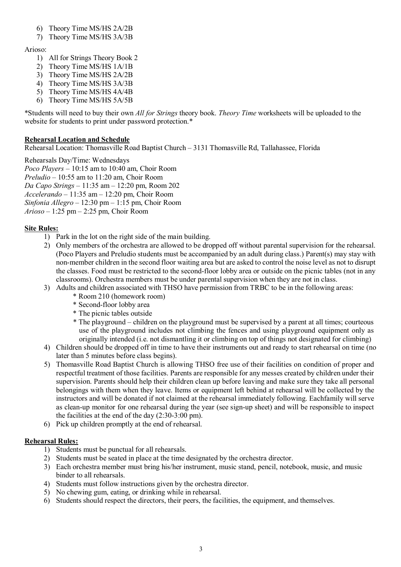- 6) Theory Time MS/HS 2A/2B
- 7) Theory Time MS/HS 3A/3B

# Arioso:

- 1) All for Strings Theory Book 2
- 2) Theory Time MS/HS 1A/1B
- 3) Theory Time MS/HS 2A/2B
- 4) Theory Time MS/HS 3A/3B
- 5) Theory Time MS/HS 4A/4B
- 6) Theory Time MS/HS 5A/5B

\*Students will need to buy their own *All for Strings* theory book. *Theory Time* worksheets will be uploaded to the website for students to print under password protection.\*

# **Rehearsal Location and Schedule**

Rehearsal Location: Thomasville Road Baptist Church – 3131 Thomasville Rd, Tallahassee, Florida

Rehearsals Day/Time: Wednesdays *Poco Players* – 10:15 am to 10:40 am, Choir Room *Preludio* – 10:55 am to 11:20 am, Choir Room *Da Capo Strings* – 11:35 am – 12:20 pm, Room 202 *Accelerando –* 11:35 am – 12:20 pm, Choir Room *Sinfonia Allegro* – 12:30 pm – 1:15 pm, Choir Room *Arioso* – 1:25 pm – 2:25 pm, Choir Room

# **Site Rules:**

- 1) Park in the lot on the right side of the main building.
- 2) Only members of the orchestra are allowed to be dropped off without parental supervision for the rehearsal. (Poco Players and Preludio students must be accompanied by an adult during class.) Parent(s) may stay with non-member children in the second floor waiting area but are asked to control the noise level as not to disrupt the classes. Food must be restricted to the second-floor lobby area or outside on the picnic tables (not in any classrooms). Orchestra members must be under parental supervision when they are not in class.
- 3) Adults and children associated with THSO have permission from TRBC to be in the following areas:
	- \* Room 210 (homework room)
	- \* Second-floor lobby area
	- \* The picnic tables outside
	- \* The playground children on the playground must be supervised by a parent at all times; courteous use of the playground includes not climbing the fences and using playground equipment only as originally intended (i.e. not dismantling it or climbing on top of things not designated for climbing)
- 4) Children should be dropped off in time to have their instruments out and ready to start rehearsal on time (no later than 5 minutes before class begins).
- 5) Thomasville Road Baptist Church is allowing THSO free use of their facilities on condition of proper and respectful treatment of those facilities. Parents are responsible for any messes created by children under their supervision. Parents should help their children clean up before leaving and make sure they take all personal belongings with them when they leave. Items or equipment left behind at rehearsal will be collected by the instructors and will be donated if not claimed at the rehearsal immediately following. Eachfamily will serve as clean-up monitor for one rehearsal during the year (see sign-up sheet) and will be responsible to inspect the facilities at the end of the day (2:30-3:00 pm).
- 6) Pick up children promptly at the end of rehearsal.

#### **Rehearsal Rules:**

- 1) Students must be punctual for all rehearsals.
- 2) Students must be seated in place at the time designated by the orchestra director.
- 3) Each orchestra member must bring his/her instrument, music stand, pencil, notebook, music, and music binder to all rehearsals.
- 4) Students must follow instructions given by the orchestra director.
- 5) No chewing gum, eating, or drinking while in rehearsal.
- 6) Students should respect the directors, their peers, the facilities, the equipment, and themselves.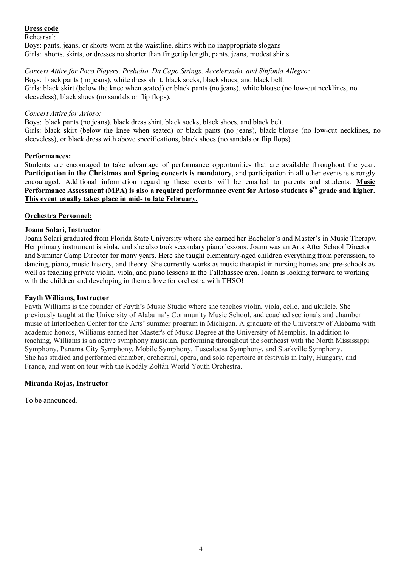#### **Dress code**

Rehearsal:

Boys: pants, jeans, or shorts worn at the waistline, shirts with no inappropriate slogans Girls: shorts, skirts, or dresses no shorter than fingertip length, pants, jeans, modest shirts

#### *Concert Attire for Poco Players, Preludio, Da Capo Strings, Accelerando, and Sinfonia Allegro:* Boys: black pants (no jeans), white dress shirt, black socks, black shoes, and black belt.

Girls: black skirt (below the knee when seated) or black pants (no jeans), white blouse (no low-cut necklines, no sleeveless), black shoes (no sandals or flip flops).

#### *Concert Attire for Arioso:*

Boys: black pants (no jeans), black dress shirt, black socks, black shoes, and black belt. Girls: black skirt (below the knee when seated) or black pants (no jeans), black blouse (no low-cut necklines, no sleeveless), or black dress with above specifications, black shoes (no sandals or flip flops).

## **Performances:**

Students are encouraged to take advantage of performance opportunities that are available throughout the year. **Participation in the Christmas and Spring concerts is mandatory**, and participation in all other events is strongly encouraged. Additional information regarding these events will be emailed to parents and students. **Music** Performance Assessment (MPA) is also a required performance event for Arioso students 6<sup>th</sup> grade and higher. **This event usually takes place in mid- to late February.**

# **Orchestra Personnel:**

## **Joann Solari, Instructor**

Joann Solari graduated from Florida State University where she earned her Bachelor's and Master's in Music Therapy. Her primary instrument is viola, and she also took secondary piano lessons. Joann was an Arts After School Director and Summer Camp Director for many years. Here she taught elementary-aged children everything from percussion, to dancing, piano, music history, and theory. She currently works as music therapist in nursing homes and pre-schools as well as teaching private violin, viola, and piano lessons in the Tallahassee area. Joann is looking forward to working with the children and developing in them a love for orchestra with THSO!

#### **Fayth Williams, Instructor**

Fayth Williams is the founder of Fayth's Music Studio where she teaches violin, viola, cello, and ukulele. She previously taught at the University of Alabama's Community Music School, and coached sectionals and chamber music at Interlochen Center for the Arts' summer program in Michigan. A graduate of the University of Alabama with academic honors, Williams earned her Master's of Music Degree at the University of Memphis. In addition to teaching, Williams is an active symphony musician, performing throughout the southeast with the North Mississippi Symphony, Panama City Symphony, Mobile Symphony, Tuscaloosa Symphony, and Starkville Symphony. She has studied and performed chamber, orchestral, opera, and solo repertoire at festivals in Italy, Hungary, and France, and went on tour with the Kodály Zoltán World Youth Orchestra.

# **Miranda Rojas, Instructor**

To be announced.